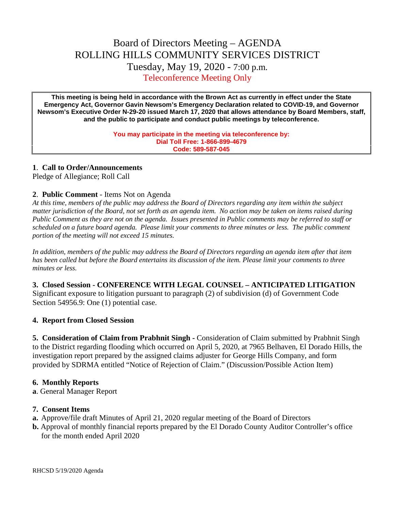# Board of Directors Meeting – AGENDA ROLLING HILLS COMMUNITY SERVICES DISTRICT Tuesday, May 19, 2020 - 7:00 p.m. Teleconference Meeting Only

**This meeting is being held in accordance with the Brown Act as currently in effect under the State Emergency Act, Governor Gavin Newsom's Emergency Declaration related to COVID-19, and Governor Newsom's Executive Order N-29-20 issued March 17, 2020 that allows attendance by Board Members, staff, and the public to participate and conduct public meetings by teleconference.**

> **You may participate in the meeting via teleconference by: Dial Toll Free: 1-866-899-4679 Code: 589-587-045**

#### **1**. **Call to Order/Announcements**

Pledge of Allegiance; Roll Call

### **2**. **Public Comment** - Items Not on Agenda

*At this time, members of the public may address the Board of Directors regarding any item within the subject matter jurisdiction of the Board, not set forth as an agenda item. No action may be taken on items raised during Public Comment as they are not on the agenda. Issues presented in Public comments may be referred to staff or scheduled on a future board agenda. Please limit your comments to three minutes or less. The public comment portion of the meeting will not exceed 15 minutes.*

*In addition, members of the public may address the Board of Directors regarding an agenda item after that item has been called but before the Board entertains its discussion of the item. Please limit your comments to three minutes or less.*

**3. Closed Session - CONFERENCE WITH LEGAL COUNSEL – ANTICIPATED LITIGATION** Significant exposure to litigation pursuant to paragraph (2) of subdivision (d) of Government Code Section 54956.9: One (1) potential case.

## **4. Report from Closed Session**

**5. Consideration of Claim from Prabhnit Singh -** Consideration of Claim submitted by Prabhnit Singh to the District regarding flooding which occurred on April 5, 2020, at 7965 Belhaven, El Dorado Hills, the investigation report prepared by the assigned claims adjuster for George Hills Company, and form provided by SDRMA entitled "Notice of Rejection of Claim." (Discussion/Possible Action Item)

#### **6. Monthly Reports**

**a**. General Manager Report

#### **7. Consent Items**

- **a.** Approve/file draft Minutes of April 21, 2020 regular meeting of the Board of Directors
- **b.** Approval of monthly financial reports prepared by the El Dorado County Auditor Controller's office for the month ended April 2020